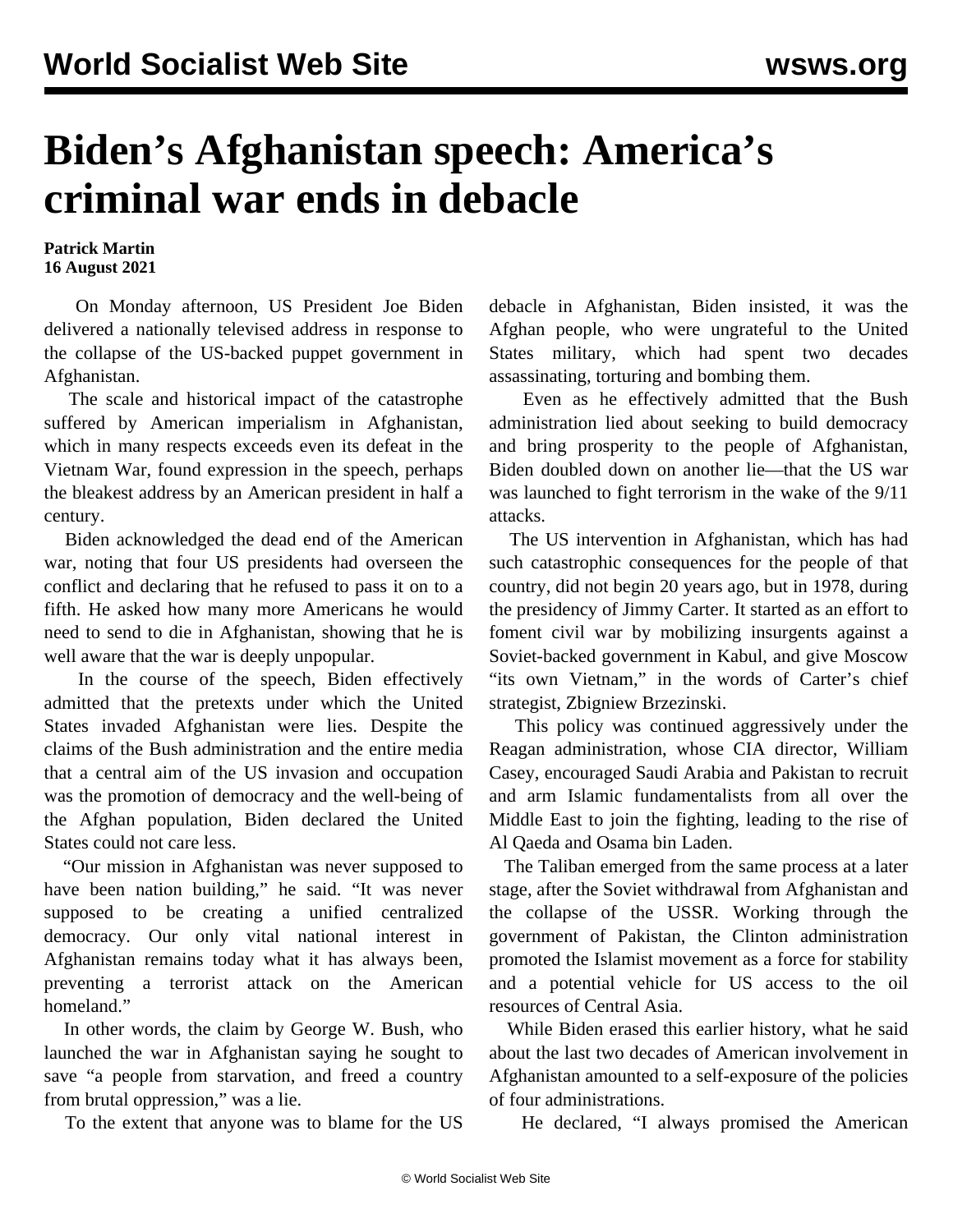## **Biden's Afghanistan speech: America's criminal war ends in debacle**

**Patrick Martin 16 August 2021**

 On Monday afternoon, US President Joe Biden delivered a nationally televised address in response to the collapse of the US-backed puppet government in Afghanistan.

 The scale and historical impact of the catastrophe suffered by American imperialism in Afghanistan, which in many respects exceeds even its defeat in the Vietnam War, found expression in the speech, perhaps the bleakest address by an American president in half a century.

 Biden acknowledged the dead end of the American war, noting that four US presidents had overseen the conflict and declaring that he refused to pass it on to a fifth. He asked how many more Americans he would need to send to die in Afghanistan, showing that he is well aware that the war is deeply unpopular.

 In the course of the speech, Biden effectively admitted that the pretexts under which the United States invaded Afghanistan were lies. Despite the claims of the Bush administration and the entire media that a central aim of the US invasion and occupation was the promotion of democracy and the well-being of the Afghan population, Biden declared the United States could not care less.

 "Our mission in Afghanistan was never supposed to have been nation building," he said. "It was never supposed to be creating a unified centralized democracy. Our only vital national interest in Afghanistan remains today what it has always been, preventing a terrorist attack on the American homeland."

 In other words, the claim by George W. Bush, who launched the war in Afghanistan saying he sought to save "a people from starvation, and freed a country from brutal oppression," was a lie.

To the extent that anyone was to blame for the US

debacle in Afghanistan, Biden insisted, it was the Afghan people, who were ungrateful to the United States military, which had spent two decades assassinating, torturing and bombing them.

 Even as he effectively admitted that the Bush administration lied about seeking to build democracy and bring prosperity to the people of Afghanistan, Biden doubled down on another lie—that the US war was launched to fight terrorism in the wake of the 9/11 attacks.

 The US intervention in Afghanistan, which has had such catastrophic consequences for the people of that country, did not begin 20 years ago, but in 1978, during the presidency of Jimmy Carter. It started as an effort to foment civil war by mobilizing insurgents against a Soviet-backed government in Kabul, and give Moscow "its own Vietnam," in the words of Carter's chief strategist, Zbigniew Brzezinski.

 This policy was continued aggressively under the Reagan administration, whose CIA director, William Casey, encouraged Saudi Arabia and Pakistan to recruit and arm Islamic fundamentalists from all over the Middle East to join the fighting, leading to the rise of Al Qaeda and Osama bin Laden.

 The Taliban emerged from the same process at a later stage, after the Soviet withdrawal from Afghanistan and the collapse of the USSR. Working through the government of Pakistan, the Clinton administration promoted the Islamist movement as a force for stability and a potential vehicle for US access to the oil resources of Central Asia.

 While Biden erased this earlier history, what he said about the last two decades of American involvement in Afghanistan amounted to a self-exposure of the policies of four administrations.

He declared, "I always promised the American